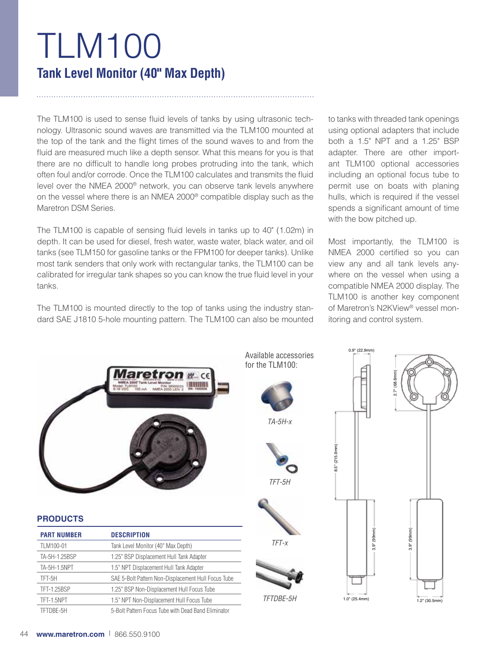# TLM100 **Tank Level Monitor (40" Max Depth)**

The TLM100 is used to sense fluid levels of tanks by using ultrasonic technology. Ultrasonic sound waves are transmitted via the TLM100 mounted at the top of the tank and the flight times of the sound waves to and from the fluid are measured much like a depth sensor. What this means for you is that there are no difficult to handle long probes protruding into the tank, which often foul and/or corrode. Once the TLM100 calculates and transmits the fluid level over the NMEA 2000® network, you can observe tank levels anywhere on the vessel where there is an NMEA 2000® compatible display such as the Maretron DSM Series.

The TLM100 is capable of sensing fluid levels in tanks up to 40" (1.02m) in depth. It can be used for diesel, fresh water, waste water, black water, and oil tanks (see TLM150 for gasoline tanks or the FPM100 for deeper tanks). Unlike most tank senders that only work with rectangular tanks, the TLM100 can be calibrated for irregular tank shapes so you can know the true fluid level in your tanks.

The TLM100 is mounted directly to the top of tanks using the industry standard SAE J1810 5-hole mounting pattern. The TLM100 can also be mounted to tanks with threaded tank openings using optional adapters that include both a 1.5" NPT and a 1.25" BSP adapter. There are other important TLM100 optional accessories including an optional focus tube to permit use on boats with planing hulls, which is required if the vessel spends a significant amount of time with the bow pitched up.

Most importantly, the TLM100 is NMEA 2000 certified so you can view any and all tank levels anywhere on the vessel when using a compatible NMEA 2000 display. The TLM100 is another key component of Maretron's N2KView® vessel monitoring and control system.